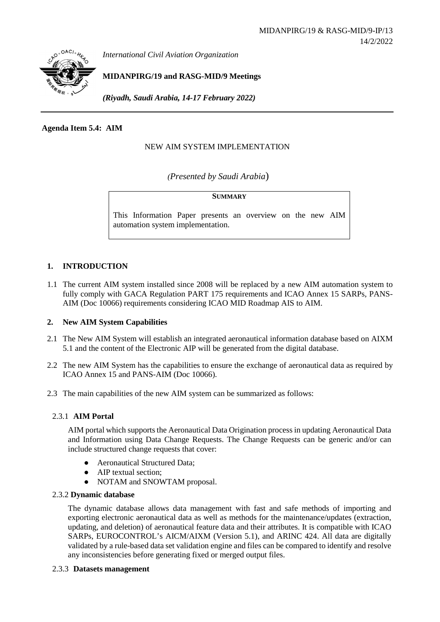

*International Civil Aviation Organization*

**MIDANPIRG/19 and RASG-MID/9 Meetings**

*(Riyadh, Saudi Arabia, 14-17 February 2022)*

## **Agenda Item 5.4: AIM**

## NEW AIM SYSTEM IMPLEMENTATION

*(Presented by Saudi Arabia*)

### **SUMMARY**

This Information Paper presents an overview on the new AIM automation system implementation.

## **1. INTRODUCTION**

1.1 The current AIM system installed since 2008 will be replaced by a new AIM automation system to fully comply with GACA Regulation PART 175 requirements and ICAO Annex 15 SARPs, PANS-AIM (Doc 10066) requirements considering ICAO MID Roadmap AIS to AIM.

## **2. New AIM System Capabilities**

- 2.1 The New AIM System will establish an integrated aeronautical information database based on AIXM 5.1 and the content of the Electronic AIP will be generated from the digital database.
- 2.2 The new AIM System has the capabilities to ensure the exchange of aeronautical data as required by ICAO Annex 15 and PANS-AIM (Doc 10066).
- 2.3 The main capabilities of the new AIM system can be summarized as follows:

## 2.3.1 **AIM Portal**

AIM portal which supports the Aeronautical Data Origination process in updating Aeronautical Data and Information using Data Change Requests. The Change Requests can be generic and/or can include structured change requests that cover:

- Aeronautical Structured Data:
- AIP textual section;
- NOTAM and SNOWTAM proposal.

## 2.3.2 **Dynamic database**

The dynamic database allows data management with fast and safe methods of importing and exporting electronic aeronautical data as well as methods for the maintenance/updates (extraction, updating, and deletion) of aeronautical feature data and their attributes. It is compatible with ICAO SARPs, EUROCONTROL's AICM/AIXM (Version 5.1), and ARINC 424. All data are digitally validated by a rule-based data set validation engine and files can be compared to identify and resolve any inconsistencies before generating fixed or merged output files.

#### 2.3.3 **Datasets management**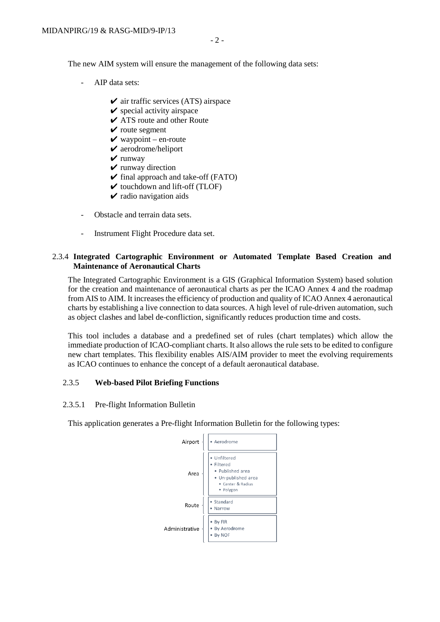The new AIM system will ensure the management of the following data sets:

- AIP data sets:
	- $\checkmark$  air traffic services (ATS) airspace
	- $\triangleright$  special activity airspace
	- $\angle$  ATS route and other Route
	- $\checkmark$  route segment
	- $\vee$  waypoint en-route
	- $\vee$  aerodrome/heliport
	- $\vee$  runway
	- $\vee$  runway direction
	- $\checkmark$  final approach and take-off (FATO)
	- $\checkmark$  touchdown and lift-off (TLOF)
	- $\checkmark$  radio navigation aids
- Obstacle and terrain data sets.
- Instrument Flight Procedure data set.

## 2.3.4 **Integrated Cartographic Environment or Automated Template Based Creation and Maintenance of Aeronautical Charts**

The Integrated Cartographic Environment is a GIS (Graphical Information System) based solution for the creation and maintenance of aeronautical charts as per the ICAO Annex 4 and the roadmap from AIS to AIM. It increases the efficiency of production and quality of ICAO Annex 4 aeronautical charts by establishing a live connection to data sources. A high level of rule-driven automation, such as object clashes and label de-confliction, significantly reduces production time and costs.

This tool includes a database and a predefined set of rules (chart templates) which allow the immediate production of ICAO-compliant charts. It also allows the rule sets to be edited to configure new chart templates. This flexibility enables AIS/AIM provider to meet the evolving requirements as ICAO continues to enhance the concept of a default aeronautical database.

#### 2.3.5 **Web-based Pilot Briefing Functions**

#### 2.3.5.1 Pre-flight Information Bulletin

This application generates a Pre-flight Information Bulletin for the following types:

Adm

| Airport     | Aerodrome                                                                                           |
|-------------|-----------------------------------------------------------------------------------------------------|
| Area        | Unfiltered<br>Filtered<br>• Published area<br>• Un-published area<br>• Center & Radius<br>· Polygon |
| Route       | Standard<br>Narrow                                                                                  |
| inistrative | By FIR<br>By Aerodrome<br>By NOF                                                                    |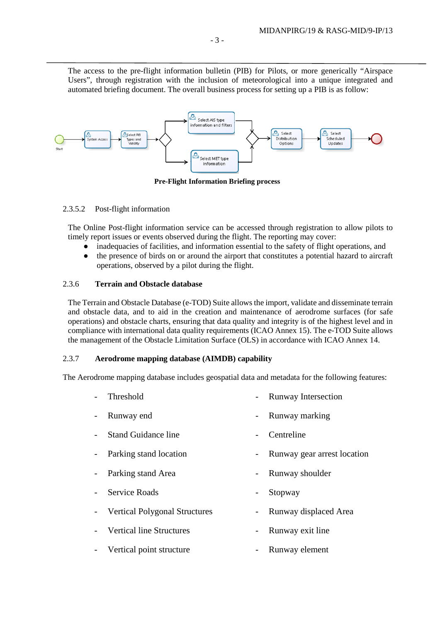The access to the pre-flight information bulletin (PIB) for Pilots, or more generically "Airspace Users", through registration with the inclusion of meteorological into a unique integrated and automated briefing document. The overall business process for setting up a PIB is as follow:



**Pre-Flight Information Briefing process**

## 2.3.5.2 Post-flight information

The Online Post-flight information service can be accessed through registration to allow pilots to timely report issues or events observed during the flight. The reporting may cover:

- inadequacies of facilities, and information essential to the safety of flight operations, and
- the presence of birds on or around the airport that constitutes a potential hazard to aircraft operations, observed by a pilot during the flight.

## 2.3.6 **Terrain and Obstacle database**

The Terrain and Obstacle Database (e-TOD) Suite allows the import, validate and disseminate terrain and obstacle data, and to aid in the creation and maintenance of aerodrome surfaces (for safe operations) and obstacle charts, ensuring that data quality and integrity is of the highest level and in compliance with international data quality requirements (ICAO Annex 15). The e-TOD Suite allows the management of the Obstacle Limitation Surface (OLS) in accordance with ICAO Annex 14.

## 2.3.7 **Aerodrome mapping database (AIMDB) capability**

The Aerodrome mapping database includes geospatial data and metadata for the following features:

- Threshold Runway Intersection
- Runway end Figure 2.1 The Runway marking
- Stand Guidance line Centreline
- Parking stand location Runway gear arrest location
- Parking stand Area Runway shoulder
- Service Roads  **Stopway**
- Vertical Polygonal Structures Runway displaced Area
- Vertical line Structures Runway exit line
- Vertical point structure Runway element